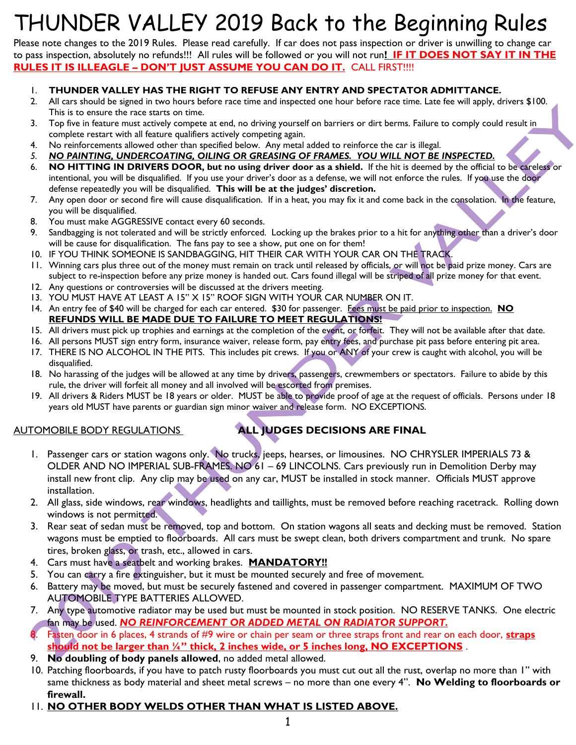# THUNDER VALLEY 2019 Back to the Beginning Rules

Please note changes to the 2019 Rules. Please read carefully. If car does not pass inspection or driver is unwilling to change car to pass inspection, absolutely no refunds!!! All rules will be followed or you will not run**! IF IT DOES NOT SAY IT IN THE RULES IT IS ILLEAGLE – DON'T JUST ASSUME YOU CAN DO IT.** CALL FIRST!!!!

### 1. **THUNDER VALLEY HAS THE RIGHT TO REFUSE ANY ENTRY AND SPECTATOR ADMITTANCE.**

- 2. All cars should be signed in two hours before race time and inspected one hour before race time. Late fee will apply, drivers \$100. This is to ensure the race starts on time.
- 3. Top five in feature must actively compete at end, no driving yourself on barriers or dirt berms. Failure to comply could result in complete restart with all feature qualifiers actively competing again.
- 4. No reinforcements allowed other than specified below. Any metal added to reinforce the car is illegal.
- *5. NO PAINTING, UNDERCOATING, OILING OR GREASING OF FRAMES. YOU WILL NOT BE INSPECTED.*
- 6. **NO HITTING IN DRIVERS DOOR, but no using driver door as a shield.** If the hit is deemed by the official to be careless or intentional, you will be disqualified. If you use your driver's door as a defense, we will not enforce the rules. If you use the door defense repeatedly you will be disqualified. **This will be at the judges' discretion.**
- 7. Any open door or second fire will cause disqualification. If in a heat, you may fix it and come back in the consolation. In the feature, you will be disqualified.
- 8. You must make AGGRESSIVE contact every 60 seconds.
- 9. Sandbagging is not tolerated and will be strictly enforced. Locking up the brakes prior to a hit for anything other than a driver's door will be cause for disqualification. The fans pay to see a show, put one on for them!
- 10. IF YOU THINK SOMEONE IS SANDBAGGING, HIT THEIR CAR WITH YOUR CAR ON THE TRACK.
- 11. Winning cars plus three out of the money must remain on track until released by officials, or will not be paid prize money. Cars are subject to re-inspection before any prize money is handed out. Cars found illegal will be striped of all prize money for that event.
- 12. Any questions or controversies will be discussed at the drivers meeting.
- 13. YOU MUST HAVE AT LEAST A 15" X 15" ROOF SIGN WITH YOUR CAR NUMBER ON IT.
- 14. An entry fee of \$40 will be charged for each car entered. \$30 for passenger. Fees must be paid prior to inspection. **NO REFUNDS WILL BE MADE DUE TO FAILURE TO MEET REGULATIONS!**
- 15. All drivers must pick up trophies and earnings at the completion of the event, or forfeit. They will not be available after that date.
- 16. All persons MUST sign entry form, insurance waiver, release form, pay entry fees, and purchase pit pass before entering pit area.
- 17. THERE IS NO ALCOHOL IN THE PITS. This includes pit crews. If you or ANY of your crew is caught with alcohol, you will be disqualified.
- 18. No harassing of the judges will be allowed at any time by drivers, passengers, crewmembers or spectators. Failure to abide by this rule, the driver will forfeit all money and all involved will be escorted from premises.
- 19. All drivers & Riders MUST be 18 years or older. MUST be able to provide proof of age at the request of officials. Persons under 18 years old MUST have parents or guardian sign minor waiver and release form. NO EXCEPTIONS.

## AUTOMOBILE BODY REGULATIONS **ALL JUDGES DECISIONS ARE FINAL**

- 1. Passenger cars or station wagons only. No trucks, jeeps, hearses, or limousines. NO CHRYSLER IMPERIALS 73 & OLDER AND NO IMPERIAL SUB-FRAMES. NO 61 – 69 LINCOLNS. Cars previously run in Demolition Derby may install new front clip. Any clip may be used on any car, MUST be installed in stock manner. Officials MUST approve installation.
- 2. All glass, side windows, rear windows, headlights and taillights, must be removed before reaching racetrack. Rolling down windows is not permitted.
- 3. Rear seat of sedan must be removed, top and bottom. On station wagons all seats and decking must be removed. Station wagons must be emptied to floorboards. All cars must be swept clean, both drivers compartment and trunk. No spare tires, broken glass, or trash, etc., allowed in cars.
- 4. Cars must have a seatbelt and working brakes. **MANDATORY!!**
- 5. You can carry a fire extinguisher, but it must be mounted securely and free of movement.
- 6. Battery may be moved, but must be securely fastened and covered in passenger compartment. MAXIMUM OF TWO AUTOMOBILE TYPE BATTERIES ALLOWED.
- 7. Any type automotive radiator may be used but must be mounted in stock position. NO RESERVE TANKS. One electric fan may be used. *NO REINFORCEMENT OR ADDED METAL ON RADIATOR SUPPORT.*
- 8. Fasten door in 6 places, 4 strands of #9 wire or chain per seam or three straps front and rear on each door, **straps should not be larger than ¼" thick, 2 inches wide, or 5 inches long, NO EXCEPTIONS** .
- 9. **No doubling of body panels allowed**, no added metal allowed.
- 10. Patching floorboards, if you have to patch rusty floorboards you must cut out all the rust, overlap no more than 1" with same thickness as body material and sheet metal screws – no more than one every 4". **No Welding to floorboards or firewall.**
- 11. **NO OTHER BODY WELDS OTHER THAN WHAT IS LISTED ABOVE.**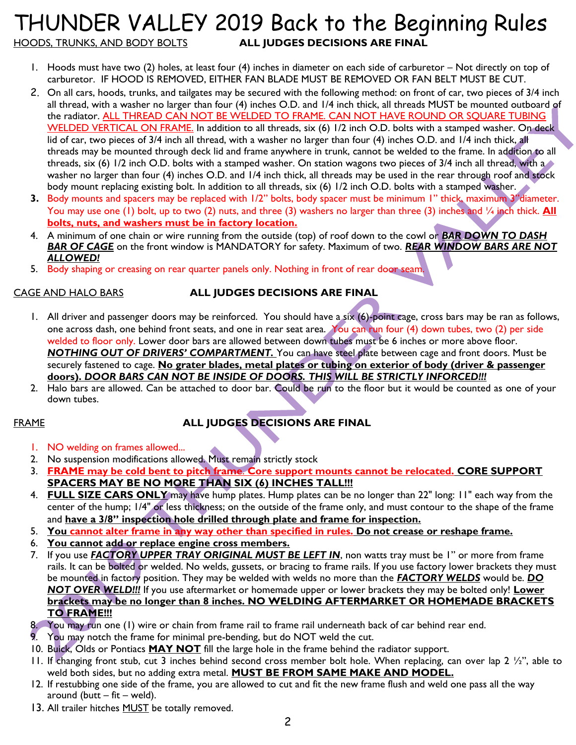## THUNDER VALLEY 2019 Back to the Beginning Rules HOODS, TRUNKS, AND BODY BOLTS **ALL JUDGES DECISIONS ARE FINAL**

- 1. Hoods must have two (2) holes, at least four (4) inches in diameter on each side of carburetor Not directly on top of carburetor. IF HOOD IS REMOVED, EITHER FAN BLADE MUST BE REMOVED OR FAN BELT MUST BE CUT.
- 2. On all cars, hoods, trunks, and tailgates may be secured with the following method: on front of car, two pieces of 3/4 inch all thread, with a washer no larger than four (4) inches O.D. and 1/4 inch thick, all threads MUST be mounted outboard of the radiator. ALL THREAD CAN NOT BE WELDED TO FRAME. CAN NOT HAVE ROUND OR SQUARE TUBING WELDED VERTICAL ON FRAME. In addition to all threads, six (6) 1/2 inch O.D. bolts with a stamped washer. On deck lid of car, two pieces of 3/4 inch all thread, with a washer no larger than four (4) inches O.D. and 1/4 inch thick, all threads may be mounted through deck lid and frame anywhere in trunk, cannot be welded to the frame. In addition to all threads, six (6) 1/2 inch O.D. bolts with a stamped washer. On station wagons two pieces of 3/4 inch all thread, with a washer no larger than four (4) inches O.D. and 1/4 inch thick, all threads may be used in the rear through roof and stock body mount replacing existing bolt. In addition to all threads, six (6) 1/2 inch O.D. bolts with a stamped washer.
- **3.** Body mounts and spacers may be replaced with 1/2" bolts, body spacer must be minimum 1" thick, maximum 3"diameter. You may use one (1) bolt, up to two (2) nuts, and three (3) washers no larger than three (3) inches and 1/4 inch thick. **All bolts, nuts, and washers must be in factory location.**
- 4. A minimum of one chain or wire running from the outside (top) of roof down to the cowl or *BAR DOWN TO DASH BAR OF CAGE* on the front window is MANDATORY for safety. Maximum of two. *REAR WINDOW BARS ARE NOT ALLOWED!*
- 5. Body shaping or creasing on rear quarter panels only. Nothing in front of rear door seam.

## CAGE AND HALO BARS **ALL JUDGES DECISIONS ARE FINAL**

- 1. All driver and passenger doors may be reinforced. You should have a six (6)-point cage, cross bars may be ran as follows, one across dash, one behind front seats, and one in rear seat area. You can run four (4) down tubes, two (2) per side welded to floor only. Lower door bars are allowed between down tubes must be 6 inches or more above floor. *NOTHING OUT OF DRIVERS' COMPARTMENT.* You can have steel plate between cage and front doors. Must be securely fastened to cage. **No grater blades, metal plates or tubing on exterior of body (driver & passenger doors).** *DOOR BARS CAN NOT BE INSIDE OF DOORS. THIS WILL BE STRICTLY INFORCED!!!*
- 2. Halo bars are allowed. Can be attached to door bar. Could be run to the floor but it would be counted as one of your down tubes.

## FRAME **ALL JUDGES DECISIONS ARE FINAL**

- 1. NO welding on frames allowed...
- 2. No suspension modifications allowed. Must remain strictly stock
- 3. **FRAME may be cold bent to pitch frame**. **Core support mounts cannot be relocated. CORE SUPPORT SPACERS MAY BE NO MORE THAN SIX (6) INCHES TALL!!!**
- 4. **FULL SIZE CARS ONLY** may have hump plates. Hump plates can be no longer than 22" long: 11" each way from the center of the hump; 1/4" or less thickness; on the outside of the frame only, and must contour to the shape of the frame and **have a 3/8" inspection hole drilled through plate and frame for inspection.**
- 5. **You cannot alter frame in any way other than specified in rules. Do not crease or reshape frame.**
- 6. **You cannot add or replace engine cross members.**
- 7. If you use *FACTORY UPPER TRAY ORIGINAL MUST BE LEFT IN*, non watts tray must be 1" or more from frame rails. It can be bolted or welded. No welds, gussets, or bracing to frame rails. If you use factory lower brackets they must be mounted in factory position. They may be welded with welds no more than the *FACTORY WELDS* would be. *DO NOT OVER WELD!!!* If you use aftermarket or homemade upper or lower brackets they may be bolted only! **Lower brackets may be no longer than 8 inches. NO WELDING AFTERMARKET OR HOMEMADE BRACKETS TO FRAME!!!**
- 8. You may run one (1) wire or chain from frame rail to frame rail underneath back of car behind rear end.
- 9. You may notch the frame for minimal pre-bending, but do NOT weld the cut.
- 10. Buick, Olds or Pontiacs **MAY NOT** fill the large hole in the frame behind the radiator support.
- 11. If changing front stub, cut 3 inches behind second cross member bolt hole. When replacing, can over lap  $2 \frac{1}{2}$ , able to weld both sides, but no adding extra metal. **MUST BE FROM SAME MAKE AND MODEL.**
- 12. If restubbing one side of the frame, you are allowed to cut and fit the new frame flush and weld one pass all the way around (butt  $-$  fit  $-$  weld).
- 13. All trailer hitches **MUST** be totally removed.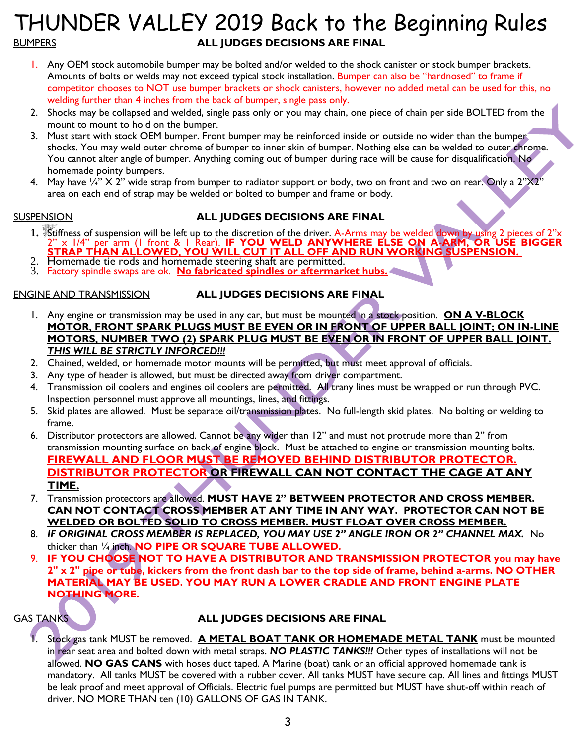## THUNDER VALLEY 2019 Back to the Beginning Rules BUMPERS **ALL JUDGES DECISIONS ARE FINAL**

- 1. Any OEM stock automobile bumper may be bolted and/or welded to the shock canister or stock bumper brackets. Amounts of bolts or welds may not exceed typical stock installation. Bumper can also be "hardnosed" to frame if competitor chooses to NOT use bumper brackets or shock canisters, however no added metal can be used for this, no welding further than 4 inches from the back of bumper, single pass only.
- 2. Shocks may be collapsed and welded, single pass only or you may chain, one piece of chain per side BOLTED from the mount to mount to hold on the bumper.
- 3. Must start with stock OEM bumper. Front bumper may be reinforced inside or outside no wider than the bumper shocks. You may weld outer chrome of bumper to inner skin of bumper. Nothing else can be welded to outer chrome. You cannot alter angle of bumper. Anything coming out of bumper during race will be cause for disqualification. No homemade pointy bumpers.
- 4. May have  $\frac{1}{4}$  X 2" wide strap from bumper to radiator support or body, two on front and two on rear. Only a 2"X2" area on each end of strap may be welded or bolted to bumper and frame or body.

## SUSPENSION **ALL JUDGES DECISIONS ARE FINAL**

- **1.** Stiffness of suspension will be left up to the discretion of the driver. A-Arms may be welded down by using 2 pieces of 2"x 2" x 1/4" per arm (1 front & 1 Rear). **IF YOU WELD ANYWHERE ELSE ON A-ARM, OR USE BIGGER STRAP THAN ALLOWED, YOU WILL CUT IT ALL OFF AND RUN WORKING SUSPENSION.**
- Homemade tie rods and homemade steering shaft are permitted.
- 3. Factory spindle swaps are ok. **No fabricated spindles or aftermarket hubs.**

ENGINE AND TRANSMISSION **ALL JUDGES DECISIONS ARE FINAL**

- 1. Any engine or transmission may be used in any car, but must be mounted in a stock position. **ON A V-BLOCK MOTOR, FRONT SPARK PLUGS MUST BE EVEN OR IN FRONT OF UPPER BALL JOINT; ON IN-LINE MOTORS, NUMBER TWO (2) SPARK PLUG MUST BE EVEN OR IN FRONT OF UPPER BALL JOINT.**  *THIS WILL BE STRICTLY INFORCED!!!*
- 2. Chained, welded, or homemade motor mounts will be permitted, but must meet approval of officials.
- 3. Any type of header is allowed, but must be directed away from driver compartment.
- 4. Transmission oil coolers and engines oil coolers are permitted. All trany lines must be wrapped or run through PVC. Inspection personnel must approve all mountings, lines, and fittings.
- 5. Skid plates are allowed. Must be separate oil/transmission plates. No full-length skid plates. No bolting or welding to frame.
- 6. Distributor protectors are allowed. Cannot be any wider than 12" and must not protrude more than 2" from transmission mounting surface on back of engine block. Must be attached to engine or transmission mounting bolts. **FIREWALL AND FLOOR MUST BE REMOVED BEHIND DISTRIBUTOR PROTECTOR. DISTRIBUTOR PROTECTOR OR FIREWALL CAN NOT CONTACT THE CAGE AT ANY TIME.**
- 7. Transmission protectors are allowed. **MUST HAVE 2" BETWEEN PROTECTOR AND CROSS MEMBER. CAN NOT CONTACT CROSS MEMBER AT ANY TIME IN ANY WAY. PROTECTOR CAN NOT BE WELDED OR BOLTED SOLID TO CROSS MEMBER. MUST FLOAT OVER CROSS MEMBER.**
- 8. **IF ORIGINAL CROSS MEMBER IS REPLACED, YOU MAY USE 2" ANGLE IRON OR 2" CHANNEL MAX.** No thicker than ¼ inch. **NO PIPE OR SQUARE TUBE ALLOWED.**
- 9. **IF YOU CHOOSE NOT TO HAVE A DISTRIBUTOR AND TRANSMISSION PROTECTOR you may have 2" x 2" pipe or tube, kickers from the front dash bar to the top side of frame, behind a-arms. NO OTHER MATERIAL MAY BE USED. YOU MAY RUN A LOWER CRADLE AND FRONT ENGINE PLATE NOTHING MORE.**

## GAS TANKS **ALL JUDGES DECISIONS ARE FINAL**

1. Stock gas tank MUST be removed. **A METAL BOAT TANK OR HOMEMADE METAL TANK** must be mounted in rear seat area and bolted down with metal straps. *NO PLASTIC TANKS!!!* Other types of installations will not be allowed. **NO GAS CANS** with hoses duct taped. A Marine (boat) tank or an official approved homemade tank is mandatory. All tanks MUST be covered with a rubber cover. All tanks MUST have secure cap. All lines and fittings MUST be leak proof and meet approval of Officials. Electric fuel pumps are permitted but MUST have shut-off within reach of driver. NO MORE THAN ten (10) GALLONS OF GAS IN TANK.